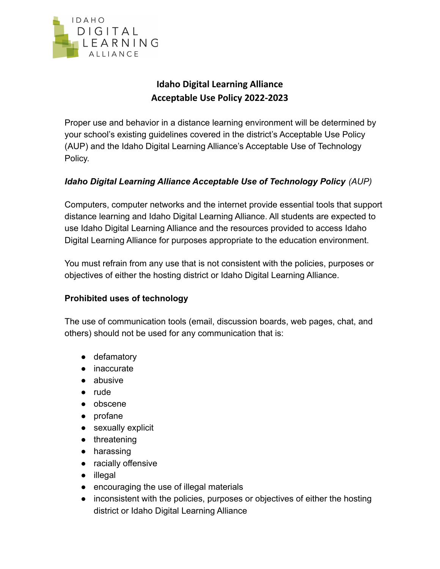

# **Idaho Digital Learning Alliance Acceptable Use Policy 2022-2023**

Proper use and behavior in a distance learning environment will be determined by your school's existing guidelines covered in the district's Acceptable Use Policy (AUP) and the Idaho Digital Learning Alliance's Acceptable Use of Technology Policy.

## *Idaho Digital Learning Alliance Acceptable Use of Technology Policy (AUP)*

Computers, computer networks and the internet provide essential tools that support distance learning and Idaho Digital Learning Alliance. All students are expected to use Idaho Digital Learning Alliance and the resources provided to access Idaho Digital Learning Alliance for purposes appropriate to the education environment.

You must refrain from any use that is not consistent with the policies, purposes or objectives of either the hosting district or Idaho Digital Learning Alliance.

## **Prohibited uses of technology**

The use of communication tools (email, discussion boards, web pages, chat, and others) should not be used for any communication that is:

- defamatory
- inaccurate
- abusive
- rude
- obscene
- profane
- sexually explicit
- threatening
- harassing
- racially offensive
- illegal
- encouraging the use of illegal materials
- inconsistent with the policies, purposes or objectives of either the hosting district or Idaho Digital Learning Alliance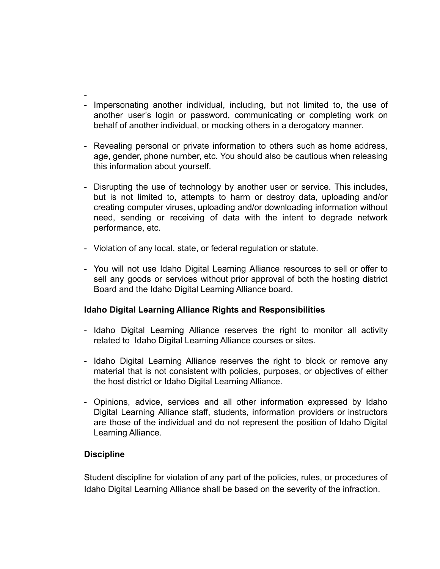- - Impersonating another individual, including, but not limited to, the use of another user's login or password, communicating or completing work on behalf of another individual, or mocking others in a derogatory manner.
- Revealing personal or private information to others such as home address, age, gender, phone number, etc. You should also be cautious when releasing this information about yourself.
- Disrupting the use of technology by another user or service. This includes, but is not limited to, attempts to harm or destroy data, uploading and/or creating computer viruses, uploading and/or downloading information without need, sending or receiving of data with the intent to degrade network performance, etc.
- Violation of any local, state, or federal regulation or statute.
- You will not use Idaho Digital Learning Alliance resources to sell or offer to sell any goods or services without prior approval of both the hosting district Board and the Idaho Digital Learning Alliance board.

#### **Idaho Digital Learning Alliance Rights and Responsibilities**

- Idaho Digital Learning Alliance reserves the right to monitor all activity related to Idaho Digital Learning Alliance courses or sites.
- Idaho Digital Learning Alliance reserves the right to block or remove any material that is not consistent with policies, purposes, or objectives of either the host district or Idaho Digital Learning Alliance.
- Opinions, advice, services and all other information expressed by Idaho Digital Learning Alliance staff, students, information providers or instructors are those of the individual and do not represent the position of Idaho Digital Learning Alliance.

#### **Discipline**

Student discipline for violation of any part of the policies, rules, or procedures of Idaho Digital Learning Alliance shall be based on the severity of the infraction.